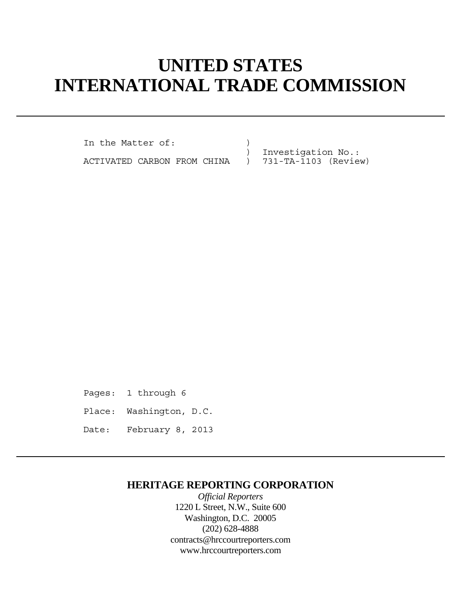# **UNITED STATES INTERNATIONAL TRADE COMMISSION**

In the Matter of: (1)

) Investigation No.:

ACTIVATED CARBON FROM CHINA ) 731-TA-1103 (Review)

Pages: 1 through 6 Place: Washington, D.C. Date: February 8, 2013

## **HERITAGE REPORTING CORPORATION**

*Official Reporters* 1220 L Street, N.W., Suite 600 Washington, D.C. 20005 (202) 628-4888 contracts@hrccourtreporters.com www.hrccourtreporters.com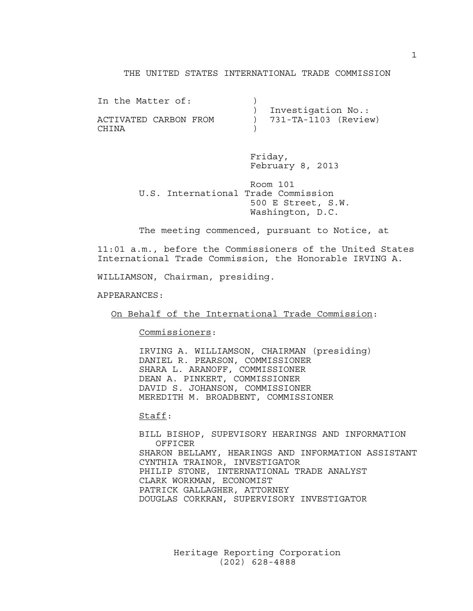#### THE UNITED STATES INTERNATIONAL TRADE COMMISSION

| In the Matter of:     |                          |
|-----------------------|--------------------------|
|                       | Investigation No.:       |
| ACTIVATED CARBON FROM | $) 731-TA-1103$ (Review) |
| CHINA                 |                          |

 Friday, February 8, 2013

 Room 101 U.S. International Trade Commission 500 E Street, S.W. Washington, D.C.

The meeting commenced, pursuant to Notice, at

11:01 a.m., before the Commissioners of the United States International Trade Commission, the Honorable IRVING A.

WILLIAMSON, Chairman, presiding.

APPEARANCES:

On Behalf of the International Trade Commission:

Commissioners:

 IRVING A. WILLIAMSON, CHAIRMAN (presiding) DANIEL R. PEARSON, COMMISSIONER SHARA L. ARANOFF, COMMISSIONER DEAN A. PINKERT, COMMISSIONER DAVID S. JOHANSON, COMMISSIONER MEREDITH M. BROADBENT, COMMISSIONER

Staff:

 BILL BISHOP, SUPEVISORY HEARINGS AND INFORMATION OFFICER SHARON BELLAMY, HEARINGS AND INFORMATION ASSISTANT CYNTHIA TRAINOR, INVESTIGATOR PHILIP STONE, INTERNATIONAL TRADE ANALYST CLARK WORKMAN, ECONOMIST PATRICK GALLAGHER, ATTORNEY DOUGLAS CORKRAN, SUPERVISORY INVESTIGATOR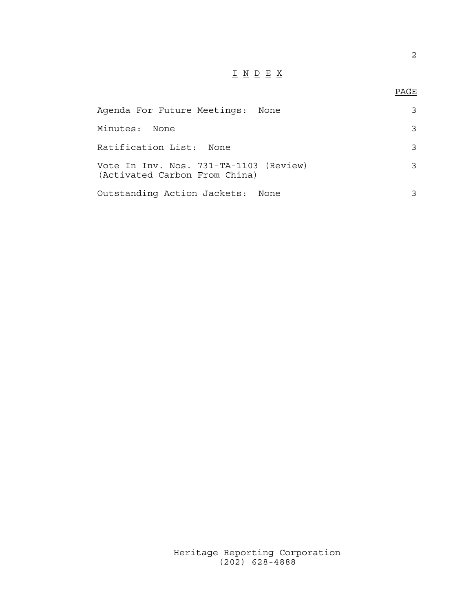## I N D E X

### en de la provincia de la provincia de la provincia de la provincia de la provincia de la provincia de la provi<br>Para la provincia de la provincia de la provincia de la provincia de la provincia de la provincia de la provin

| Agenda For Future Meetings: None                                        |   |
|-------------------------------------------------------------------------|---|
| Minutes:<br>None                                                        |   |
| Ratification List: None                                                 | २ |
| Vote In Inv. Nos. 731-TA-1103 (Review)<br>(Activated Carbon From China) |   |
| Outstanding Action Jackets: None                                        |   |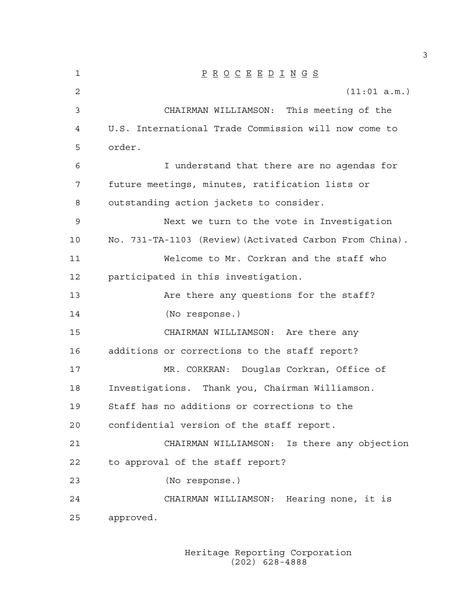1 P R O C E E D I N G S 2 (11:01 a.m.) 3 CHAIRMAN WILLIAMSON: This meeting of the 4 U.S. International Trade Commission will now come to 5 order. 6 I understand that there are no agendas for 7 future meetings, minutes, ratification lists or 8 outstanding action jackets to consider. 9 Next we turn to the vote in Investigation 10 No. 731-TA-1103 (Review)(Activated Carbon From China). 11 Welcome to Mr. Corkran and the staff who 12 participated in this investigation. 13 Are there any questions for the staff? 14 (No response.) 15 CHAIRMAN WILLIAMSON: Are there any 16 additions or corrections to the staff report? 17 MR. CORKRAN: Douglas Corkran, Office of 18 Investigations. Thank you, Chairman Williamson. 19 Staff has no additions or corrections to the 20 confidential version of the staff report. 21 CHAIRMAN WILLIAMSON: Is there any objection 22 to approval of the staff report? 23 (No response.) 24 CHAIRMAN WILLIAMSON: Hearing none, it is 25 approved.

> Heritage Reporting Corporation (202) 628-4888

3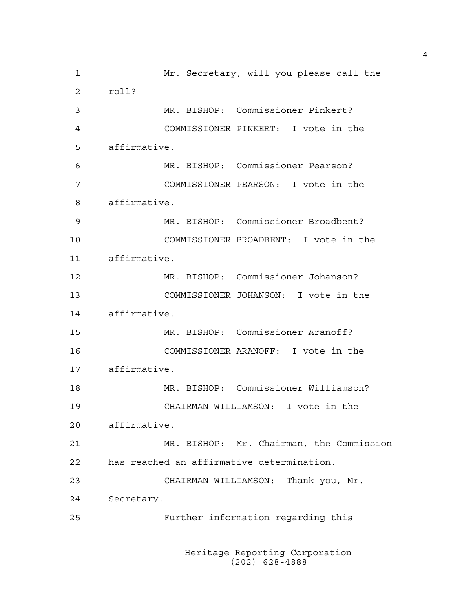1 Mr. Secretary, will you please call the 2 roll? 3 MR. BISHOP: Commissioner Pinkert? 4 COMMISSIONER PINKERT: I vote in the 5 affirmative. 6 MR. BISHOP: Commissioner Pearson? 7 COMMISSIONER PEARSON: I vote in the 8 affirmative. 9 MR. BISHOP: Commissioner Broadbent? 10 COMMISSIONER BROADBENT: I vote in the 11 affirmative. 12 MR. BISHOP: Commissioner Johanson? 13 COMMISSIONER JOHANSON: I vote in the 14 affirmative. 15 MR. BISHOP: Commissioner Aranoff? 16 COMMISSIONER ARANOFF: I vote in the 17 affirmative. 18 MR. BISHOP: Commissioner Williamson? 19 CHAIRMAN WILLIAMSON: I vote in the 20 affirmative. 21 MR. BISHOP: Mr. Chairman, the Commission 22 has reached an affirmative determination. 23 CHAIRMAN WILLIAMSON: Thank you, Mr. 24 Secretary. 25 Further information regarding this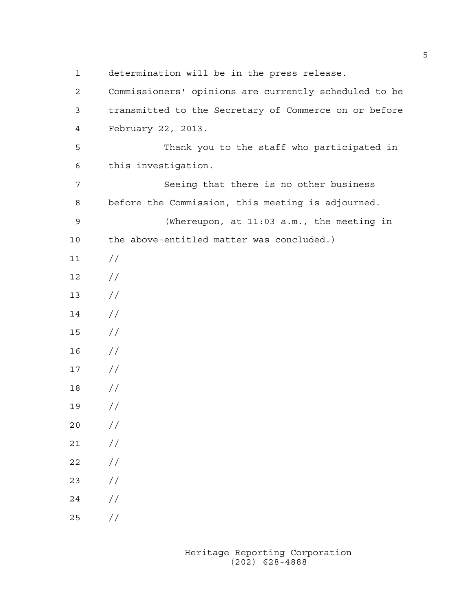1 determination will be in the press release. 2 Commissioners' opinions are currently scheduled to be 3 transmitted to the Secretary of Commerce on or before 4 February 22, 2013. 5 Thank you to the staff who participated in 6 this investigation. 7 Seeing that there is no other business 8 before the Commission, this meeting is adjourned. 9 (Whereupon, at 11:03 a.m., the meeting in 10 the above-entitled matter was concluded.) 11 // 12 // 13 //  $14 /$ 15 // 16 // 17 // 18 // 19 // 20 // 21 //  $22 / /$ 23 // 24 // 25 //